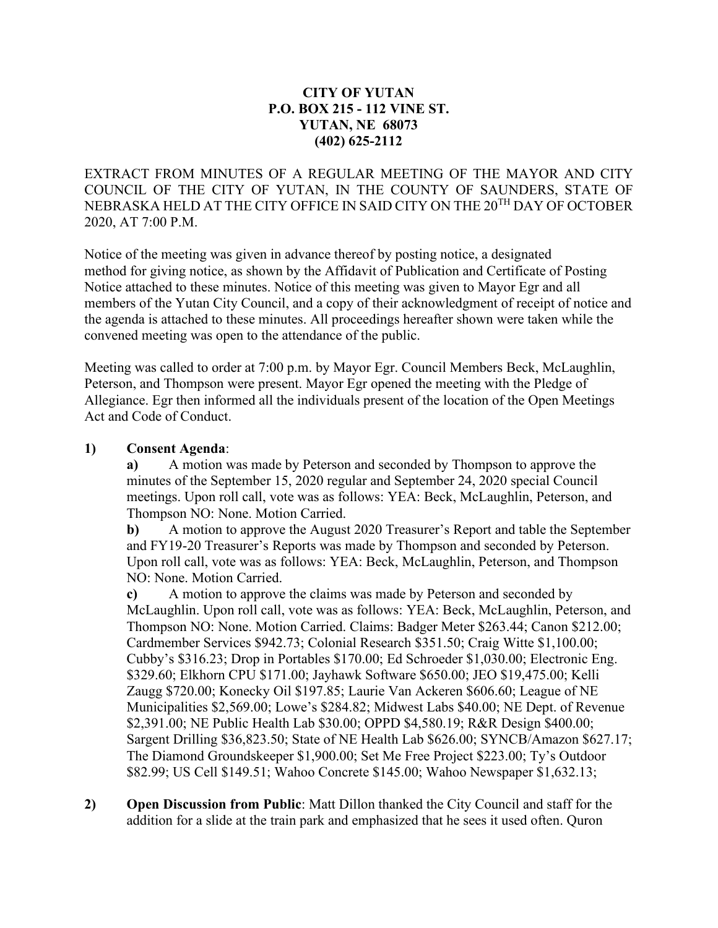### **CITY OF YUTAN P.O. BOX 215 - 112 VINE ST. YUTAN, NE 68073 (402) 625-2112**

EXTRACT FROM MINUTES OF A REGULAR MEETING OF THE MAYOR AND CITY COUNCIL OF THE CITY OF YUTAN, IN THE COUNTY OF SAUNDERS, STATE OF NEBRASKA HELD AT THE CITY OFFICE IN SAID CITY ON THE 20TH DAY OF OCTOBER 2020, AT 7:00 P.M.

Notice of the meeting was given in advance thereof by posting notice, a designated method for giving notice, as shown by the Affidavit of Publication and Certificate of Posting Notice attached to these minutes. Notice of this meeting was given to Mayor Egr and all members of the Yutan City Council, and a copy of their acknowledgment of receipt of notice and the agenda is attached to these minutes. All proceedings hereafter shown were taken while the convened meeting was open to the attendance of the public.

Meeting was called to order at 7:00 p.m. by Mayor Egr. Council Members Beck, McLaughlin, Peterson, and Thompson were present. Mayor Egr opened the meeting with the Pledge of Allegiance. Egr then informed all the individuals present of the location of the Open Meetings Act and Code of Conduct.

#### **1) Consent Agenda**:

**a)** A motion was made by Peterson and seconded by Thompson to approve the minutes of the September 15, 2020 regular and September 24, 2020 special Council meetings. Upon roll call, vote was as follows: YEA: Beck, McLaughlin, Peterson, and Thompson NO: None. Motion Carried.

**b)** A motion to approve the August 2020 Treasurer's Report and table the September and FY19-20 Treasurer's Reports was made by Thompson and seconded by Peterson. Upon roll call, vote was as follows: YEA: Beck, McLaughlin, Peterson, and Thompson NO: None. Motion Carried.

**c)** A motion to approve the claims was made by Peterson and seconded by McLaughlin. Upon roll call, vote was as follows: YEA: Beck, McLaughlin, Peterson, and Thompson NO: None. Motion Carried. Claims: Badger Meter \$263.44; Canon \$212.00; Cardmember Services \$942.73; Colonial Research \$351.50; Craig Witte \$1,100.00; Cubby's \$316.23; Drop in Portables \$170.00; Ed Schroeder \$1,030.00; Electronic Eng. \$329.60; Elkhorn CPU \$171.00; Jayhawk Software \$650.00; JEO \$19,475.00; Kelli Zaugg \$720.00; Konecky Oil \$197.85; Laurie Van Ackeren \$606.60; League of NE Municipalities \$2,569.00; Lowe's \$284.82; Midwest Labs \$40.00; NE Dept. of Revenue \$2,391.00; NE Public Health Lab \$30.00; OPPD \$4,580.19; R&R Design \$400.00; Sargent Drilling \$36,823.50; State of NE Health Lab \$626.00; SYNCB/Amazon \$627.17; The Diamond Groundskeeper \$1,900.00; Set Me Free Project \$223.00; Ty's Outdoor \$82.99; US Cell \$149.51; Wahoo Concrete \$145.00; Wahoo Newspaper \$1,632.13;

**2) Open Discussion from Public**: Matt Dillon thanked the City Council and staff for the addition for a slide at the train park and emphasized that he sees it used often. Quron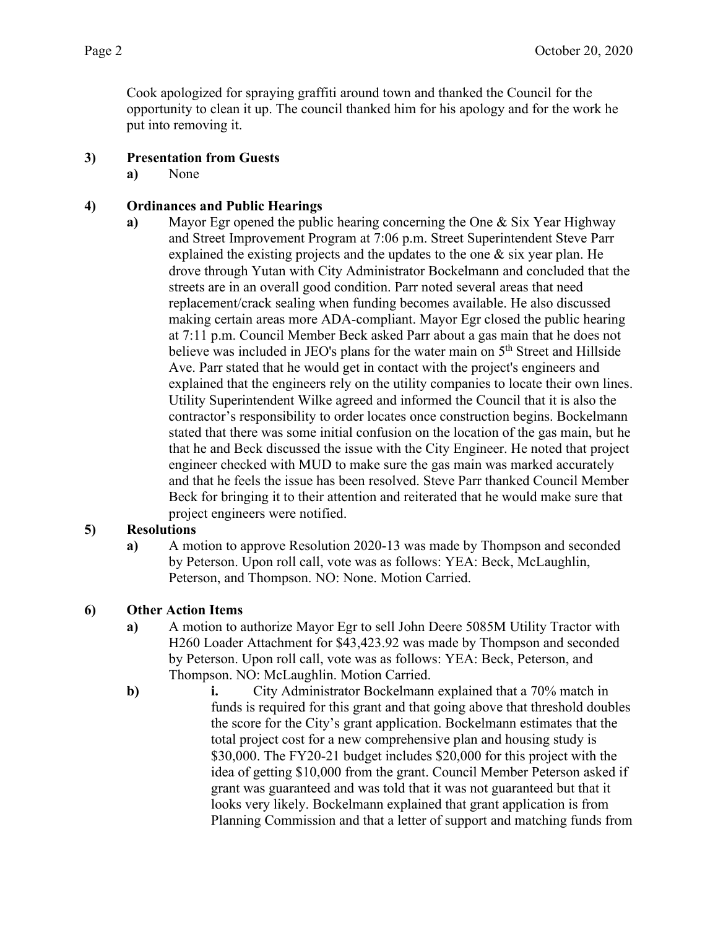Cook apologized for spraying graffiti around town and thanked the Council for the opportunity to clean it up. The council thanked him for his apology and for the work he put into removing it.

# **3) Presentation from Guests**

**a)** None

# **4) Ordinances and Public Hearings**

**a)** Mayor Egr opened the public hearing concerning the One & Six Year Highway and Street Improvement Program at 7:06 p.m. Street Superintendent Steve Parr explained the existing projects and the updates to the one  $\&$  six year plan. He drove through Yutan with City Administrator Bockelmann and concluded that the streets are in an overall good condition. Parr noted several areas that need replacement/crack sealing when funding becomes available. He also discussed making certain areas more ADA-compliant. Mayor Egr closed the public hearing at 7:11 p.m. Council Member Beck asked Parr about a gas main that he does not believe was included in JEO's plans for the water main on 5<sup>th</sup> Street and Hillside Ave. Parr stated that he would get in contact with the project's engineers and explained that the engineers rely on the utility companies to locate their own lines. Utility Superintendent Wilke agreed and informed the Council that it is also the contractor's responsibility to order locates once construction begins. Bockelmann stated that there was some initial confusion on the location of the gas main, but he that he and Beck discussed the issue with the City Engineer. He noted that project engineer checked with MUD to make sure the gas main was marked accurately and that he feels the issue has been resolved. Steve Parr thanked Council Member Beck for bringing it to their attention and reiterated that he would make sure that project engineers were notified.

### **5) Resolutions**

**a)** A motion to approve Resolution 2020-13 was made by Thompson and seconded by Peterson. Upon roll call, vote was as follows: YEA: Beck, McLaughlin, Peterson, and Thompson. NO: None. Motion Carried.

### **6) Other Action Items**

- **a)** A motion to authorize Mayor Egr to sell John Deere 5085M Utility Tractor with H260 Loader Attachment for \$43,423.92 was made by Thompson and seconded by Peterson. Upon roll call, vote was as follows: YEA: Beck, Peterson, and Thompson. NO: McLaughlin. Motion Carried.
- **b**) **i.** City Administrator Bockelmann explained that a 70% match in funds is required for this grant and that going above that threshold doubles the score for the City's grant application. Bockelmann estimates that the total project cost for a new comprehensive plan and housing study is \$30,000. The FY20-21 budget includes \$20,000 for this project with the idea of getting \$10,000 from the grant. Council Member Peterson asked if grant was guaranteed and was told that it was not guaranteed but that it looks very likely. Bockelmann explained that grant application is from Planning Commission and that a letter of support and matching funds from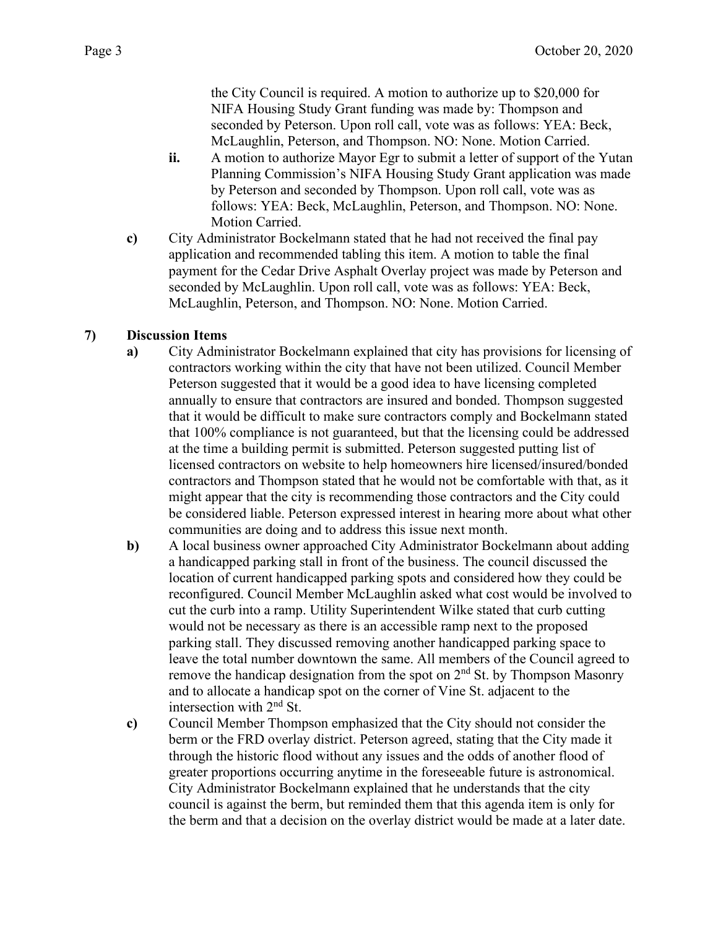the City Council is required. A motion to authorize up to \$20,000 for NIFA Housing Study Grant funding was made by: Thompson and seconded by Peterson. Upon roll call, vote was as follows: YEA: Beck, McLaughlin, Peterson, and Thompson. NO: None. Motion Carried.

- **ii.** A motion to authorize Mayor Egr to submit a letter of support of the Yutan Planning Commission's NIFA Housing Study Grant application was made by Peterson and seconded by Thompson. Upon roll call, vote was as follows: YEA: Beck, McLaughlin, Peterson, and Thompson. NO: None. Motion Carried.
- **c)** City Administrator Bockelmann stated that he had not received the final pay application and recommended tabling this item. A motion to table the final payment for the Cedar Drive Asphalt Overlay project was made by Peterson and seconded by McLaughlin. Upon roll call, vote was as follows: YEA: Beck, McLaughlin, Peterson, and Thompson. NO: None. Motion Carried.

### **7) Discussion Items**

- **a)** City Administrator Bockelmann explained that city has provisions for licensing of contractors working within the city that have not been utilized. Council Member Peterson suggested that it would be a good idea to have licensing completed annually to ensure that contractors are insured and bonded. Thompson suggested that it would be difficult to make sure contractors comply and Bockelmann stated that 100% compliance is not guaranteed, but that the licensing could be addressed at the time a building permit is submitted. Peterson suggested putting list of licensed contractors on website to help homeowners hire licensed/insured/bonded contractors and Thompson stated that he would not be comfortable with that, as it might appear that the city is recommending those contractors and the City could be considered liable. Peterson expressed interest in hearing more about what other communities are doing and to address this issue next month.
- **b)** A local business owner approached City Administrator Bockelmann about adding a handicapped parking stall in front of the business. The council discussed the location of current handicapped parking spots and considered how they could be reconfigured. Council Member McLaughlin asked what cost would be involved to cut the curb into a ramp. Utility Superintendent Wilke stated that curb cutting would not be necessary as there is an accessible ramp next to the proposed parking stall. They discussed removing another handicapped parking space to leave the total number downtown the same. All members of the Council agreed to remove the handicap designation from the spot on  $2<sup>nd</sup>$  St. by Thompson Masonry and to allocate a handicap spot on the corner of Vine St. adjacent to the intersection with 2nd St.
- **c)** Council Member Thompson emphasized that the City should not consider the berm or the FRD overlay district. Peterson agreed, stating that the City made it through the historic flood without any issues and the odds of another flood of greater proportions occurring anytime in the foreseeable future is astronomical. City Administrator Bockelmann explained that he understands that the city council is against the berm, but reminded them that this agenda item is only for the berm and that a decision on the overlay district would be made at a later date.